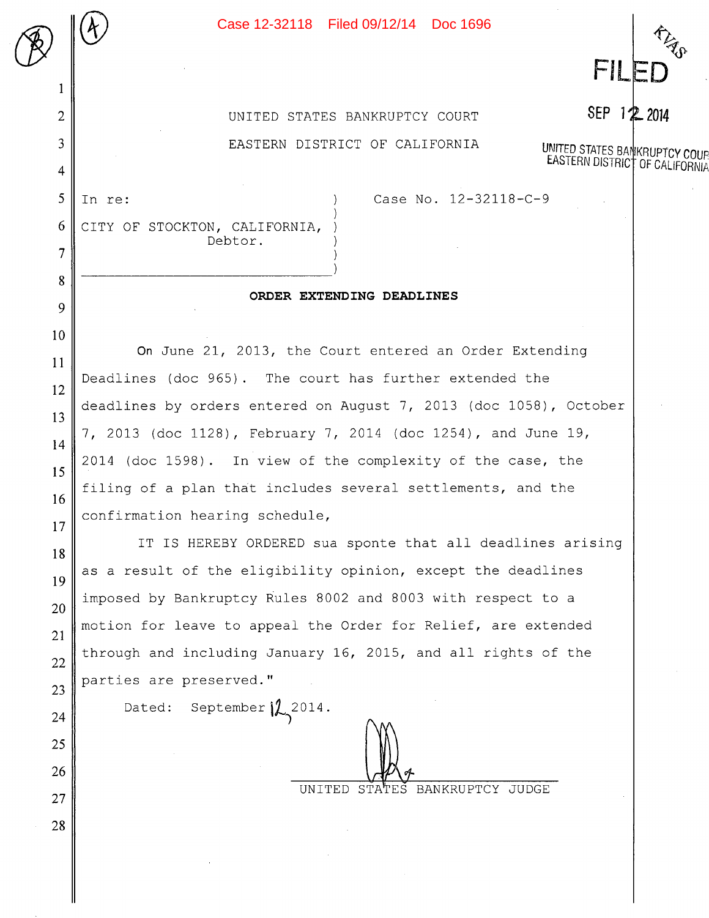2 || UNITED STATES BANKRUPTCY COURT 3 EASTERN DISTRICT OF CALIFORNIA

UNITED STATES BANKRUPTCY COUP<br>EASTERN DISTRICT OF CALIFORNIA

SEP 1<sup>2</sup> 2014

FIL

 $6$  CITY OF STOCKTON, CALIFORNIA, Debtor.

## **ORDER EXTENDING DEADLINES**

**On** June 21, 2013, the Court entered an Order Extending Deadlines (doc 965) . The court has further extended the deadlines by orders entered on August 7, 2013 (doc 1058), October 7, 2013 (doc 1128) , February 7, 2014 (doc 1254) , and June 19, 2014 (doc 1598) . In view of the complexity of the case, the filing of a plan that includes several settlements, and the confirmation hearing schedule,

IT IS HEREBY ORDERED sua sponte that all deadlines arising as a result of the eligibility opinion, except the deadlines imposed by Bankruptcy Rules 8002 and 8003 with respect to a motion for leave to appeal the Order for Relief, are extended through and including January 16, 2015, and all rights of the parties are preserved."

Dated: September  $\sqrt{2}$  2014.

UNITED STATES BANKRUPTCY JUDGE

1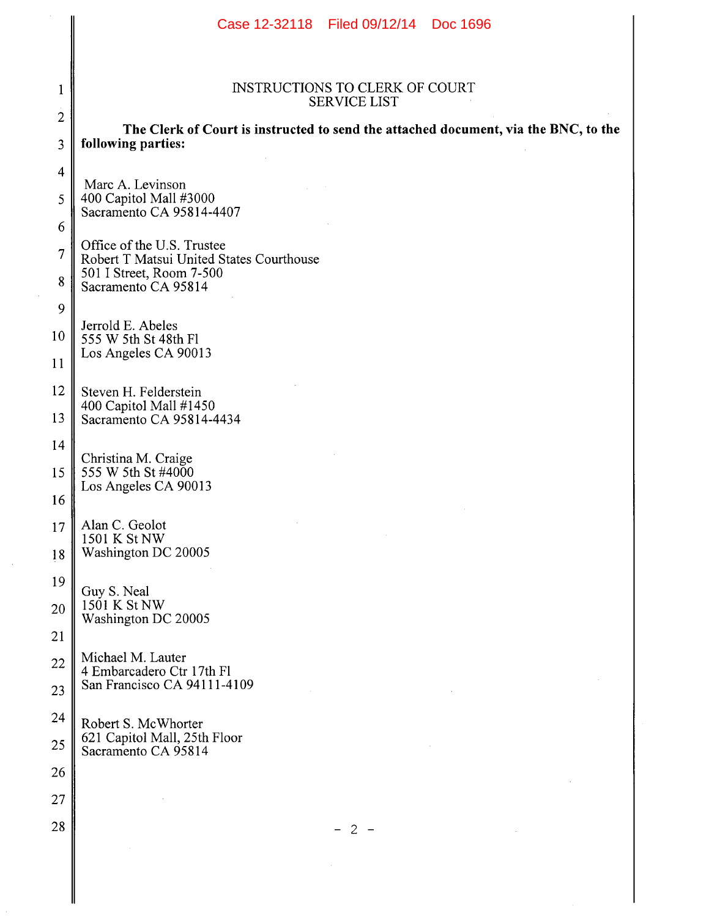|                     | Case 12-32118 Filed 09/12/14 Doc 1696                                                                     |  |  |  |  |  |
|---------------------|-----------------------------------------------------------------------------------------------------------|--|--|--|--|--|
| 1                   | <b>INSTRUCTIONS TO CLERK OF COURT</b><br><b>SERVICE LIST</b>                                              |  |  |  |  |  |
| $\overline{2}$<br>3 | The Clerk of Court is instructed to send the attached document, via the BNC, to the<br>following parties: |  |  |  |  |  |
| $\overline{4}$      | Marc A. Levinson                                                                                          |  |  |  |  |  |
| 5                   | 400 Capitol Mall #3000<br>Sacramento CA 95814-4407                                                        |  |  |  |  |  |
| 6                   | Office of the U.S. Trustee                                                                                |  |  |  |  |  |
| $\overline{7}$<br>8 | Robert T Matsui United States Courthouse<br>501 I Street, Room 7-500<br>Sacramento CA 95814               |  |  |  |  |  |
| 9                   |                                                                                                           |  |  |  |  |  |
| 10                  | Jerrold E. Abeles<br>555 W 5th St 48th Fl                                                                 |  |  |  |  |  |
| 11                  | Los Angeles CA 90013                                                                                      |  |  |  |  |  |
| 12                  | Steven H. Felderstein                                                                                     |  |  |  |  |  |
| 13                  | 400 Capitol Mall #1450<br>Sacramento CA 95814-4434                                                        |  |  |  |  |  |
| 14                  |                                                                                                           |  |  |  |  |  |
| 15                  | Christina M. Craige<br>555 W 5th St #4000                                                                 |  |  |  |  |  |
| 16                  | Los Angeles CA 90013                                                                                      |  |  |  |  |  |
| $17\,$              | Alan C. Geolot<br>1501 K St NW                                                                            |  |  |  |  |  |
| 18                  | Washington DC 20005                                                                                       |  |  |  |  |  |
| 19                  | Guy S. Neal                                                                                               |  |  |  |  |  |
| 20                  | 1501 K St NW<br>Washington DC 20005                                                                       |  |  |  |  |  |
| 21                  |                                                                                                           |  |  |  |  |  |
| 22                  | Michael M. Lauter<br>4 Embarcadero Ctr 17th Fl                                                            |  |  |  |  |  |
| 23                  | San Francisco CA 94111-4109                                                                               |  |  |  |  |  |
| 24                  | Robert S. McWhorter                                                                                       |  |  |  |  |  |
| 25                  | 621 Capitol Mall, 25th Floor<br>Sacramento CA 95814                                                       |  |  |  |  |  |
| 26                  |                                                                                                           |  |  |  |  |  |
| 27                  |                                                                                                           |  |  |  |  |  |
| 28                  | $-2-$                                                                                                     |  |  |  |  |  |
|                     |                                                                                                           |  |  |  |  |  |

 $\sim$ 

 $\mathcal{L}$ 

 $\parallel$ 

║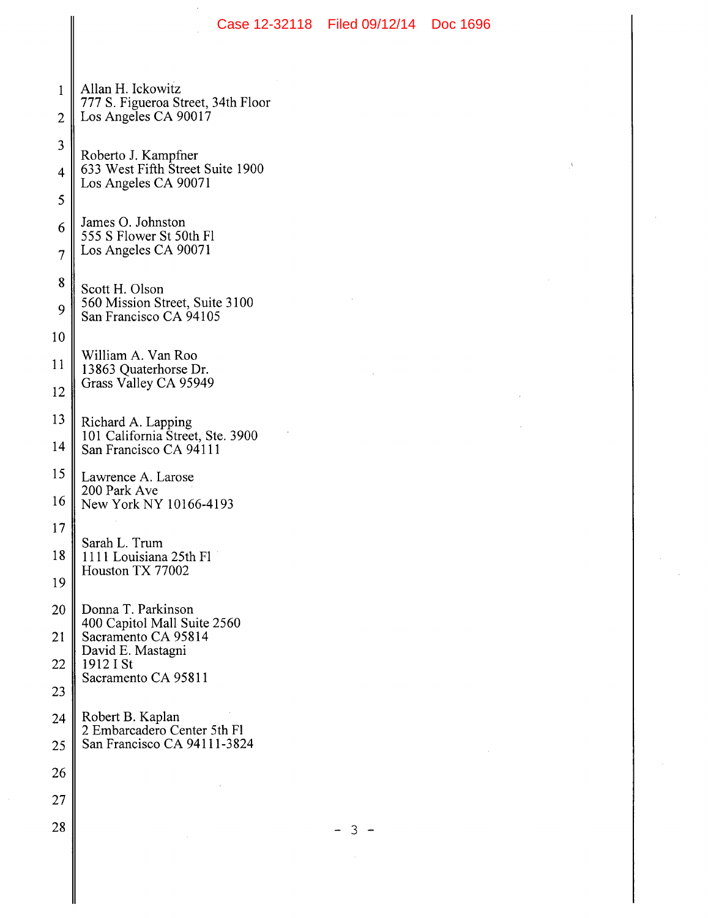|                          |                                                                                                            | Case 12-32118 Filed 09/12/14 Doc 1696 |  |
|--------------------------|------------------------------------------------------------------------------------------------------------|---------------------------------------|--|
| 1<br>$\overline{2}$      | Allan H. Ickowitz<br>777 S. Figueroa Street, 34th Floor<br>Los Angeles CA 90017                            |                                       |  |
| 3<br>$\overline{4}$<br>5 | Roberto J. Kampfner<br>633 West Fifth Street Suite 1900<br>Los Angeles CA 90071                            |                                       |  |
| 6<br>$\overline{7}$      | James O. Johnston<br>555 S Flower St 50th Fl<br>Los Angeles CA 90071                                       |                                       |  |
| 8<br>9<br>10             | Scott H. Olson<br>560 Mission Street, Suite 3100<br>San Francisco CA 94105                                 |                                       |  |
| 11<br>12                 | William A. Van Roo<br>13863 Quaterhorse Dr.<br>Grass Valley CA 95949                                       |                                       |  |
| 13<br>14                 | Richard A. Lapping<br>101 California Street, Ste. 3900<br>San Francisco CA 94111                           |                                       |  |
| 15<br>16<br>17           | Lawrence A. Larose<br>200 Park Ave<br>New York NY 10166-4193                                               |                                       |  |
| 18<br>19                 | Sarah L. Trum<br>1111 Louisiana 25th Fl<br>Houston TX 77002                                                |                                       |  |
| 20<br>21<br>22           | Donna T. Parkinson<br>400 Capitol Mall Suite 2560<br>Sacramento CA 95814<br>David E. Mastagni<br>1912 I St |                                       |  |
| 23                       | Sacramento CA 95811                                                                                        |                                       |  |
| 24<br>25                 | Robert B. Kaplan<br>2 Embarcadero Center 5th Fl<br>San Francisco CA 94111-3824                             |                                       |  |
| 26                       |                                                                                                            |                                       |  |
| 27                       |                                                                                                            |                                       |  |
| 28                       |                                                                                                            | З                                     |  |